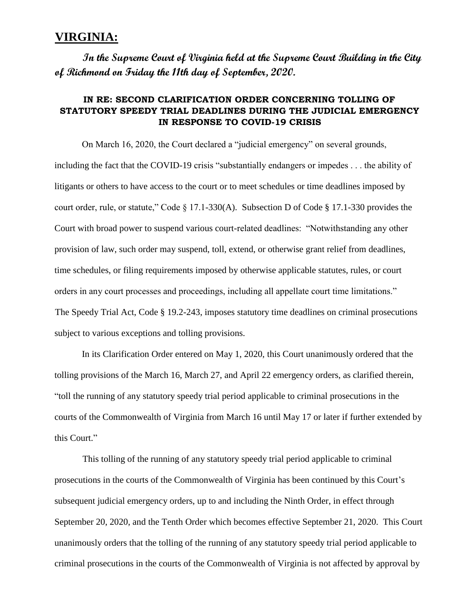## **VIRGINIA:**

**In the Supreme Court of Virginia held at the Supreme Court Building in the City of Richmond on Friday the 11th day of September, 2020.** 

## **IN RE: SECOND CLARIFICATION ORDER CONCERNING TOLLING OF STATUTORY SPEEDY TRIAL DEADLINES DURING THE JUDICIAL EMERGENCY IN RESPONSE TO COVID-19 CRISIS**

On March 16, 2020, the Court declared a "judicial emergency" on several grounds, including the fact that the COVID-19 crisis "substantially endangers or impedes . . . the ability of litigants or others to have access to the court or to meet schedules or time deadlines imposed by court order, rule, or statute," Code § 17.1-330(A). Subsection D of Code § 17.1-330 provides the Court with broad power to suspend various court-related deadlines: "Notwithstanding any other provision of law, such order may suspend, toll, extend, or otherwise grant relief from deadlines, time schedules, or filing requirements imposed by otherwise applicable statutes, rules, or court orders in any court processes and proceedings, including all appellate court time limitations." The Speedy Trial Act, Code § 19.2-243, imposes statutory time deadlines on criminal prosecutions subject to various exceptions and tolling provisions.

In its Clarification Order entered on May 1, 2020, this Court unanimously ordered that the tolling provisions of the March 16, March 27, and April 22 emergency orders, as clarified therein, "toll the running of any statutory speedy trial period applicable to criminal prosecutions in the courts of the Commonwealth of Virginia from March 16 until May 17 or later if further extended by this Court."

This tolling of the running of any statutory speedy trial period applicable to criminal prosecutions in the courts of the Commonwealth of Virginia has been continued by this Court's subsequent judicial emergency orders, up to and including the Ninth Order, in effect through September 20, 2020, and the Tenth Order which becomes effective September 21, 2020. This Court unanimously orders that the tolling of the running of any statutory speedy trial period applicable to criminal prosecutions in the courts of the Commonwealth of Virginia is not affected by approval by